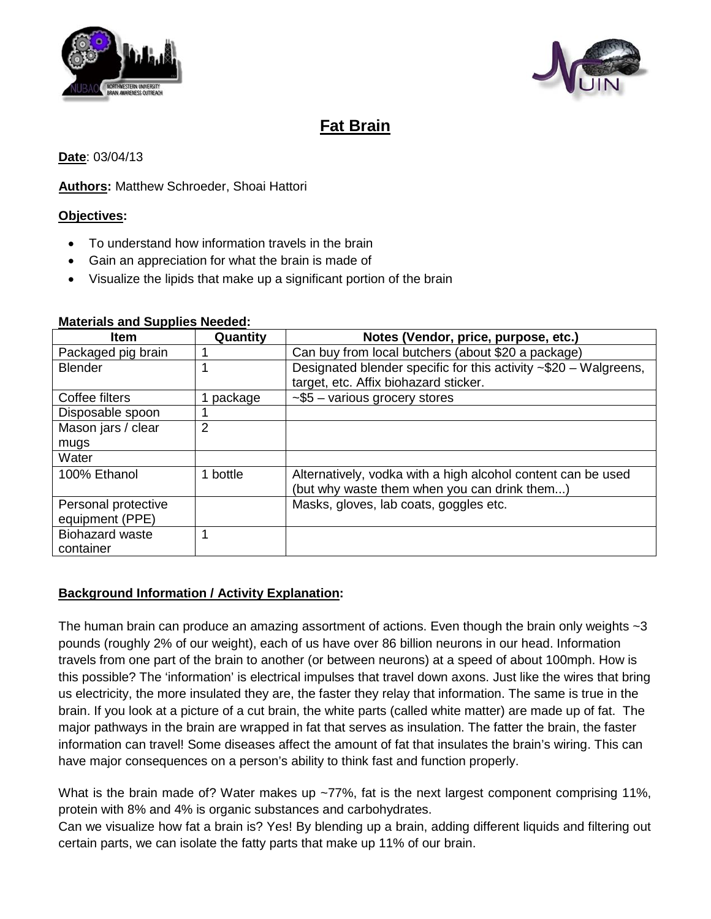



# **Fat Brain**

#### **Date**: 03/04/13

#### **Authors:** Matthew Schroeder, Shoai Hattori

#### **Objectives :**

- To understand how information travels in the brain
- Gain an appreciation for what the brain is made of
- Visualize the lipids that make up a significant portion of the brain

| <b>Item</b>            | Quantity       | Notes (Vendor, price, purpose, etc.)                                   |
|------------------------|----------------|------------------------------------------------------------------------|
| Packaged pig brain     |                | Can buy from local butchers (about \$20 a package)                     |
| <b>Blender</b>         |                | Designated blender specific for this activity $\sim $20 - W$ algreens, |
|                        |                | target, etc. Affix biohazard sticker.                                  |
| Coffee filters         | 1 package      | $-$ \$5 - various grocery stores                                       |
| Disposable spoon       |                |                                                                        |
| Mason jars / clear     | $\overline{2}$ |                                                                        |
| mugs                   |                |                                                                        |
| Water                  |                |                                                                        |
| 100% Ethanol           | 1 bottle       | Alternatively, vodka with a high alcohol content can be used           |
|                        |                | (but why waste them when you can drink them)                           |
| Personal protective    |                | Masks, gloves, lab coats, goggles etc.                                 |
| equipment (PPE)        |                |                                                                        |
| <b>Biohazard waste</b> |                |                                                                        |
| container              |                |                                                                        |

#### **Materials and Supplies Needed :**

## **Background Information / Activity Explanation:**

The human brain can produce an amazing assortment of actions. Even though the brain only weights ~3 pounds (roughly 2% of our weight), each of us have over 86 billion neurons in our head. Information travels from one part of the brain to another (or between neurons) at a speed of about 100mph. How is this possible? The 'information' is electrical impulses that travel down axons. Just like the wires that bring us electricity, the more insulated they are, the faster they relay that information. The same is true in the brain. If you look at a picture of a cut brain, the white parts (called white matter) are made up of fat. The major pathways in the brain are wrapped in fat that serves as insulation. The fatter the brain, the faster information can travel! Some diseases affect the amount of fat that insulates the brain's wiring. This can have major consequences on a person's ability to think fast and function properly.

What is the brain made of? Water makes up ~77%, fat is the next largest component comprising 11%, protein with 8% and 4% is organic substances and carbohydrates.

Can we visualize how fat a brain is? Yes! By blending up a brain, adding different liquids and filtering out certain parts, we can isolate the fatty parts that make up 11% of our brain.